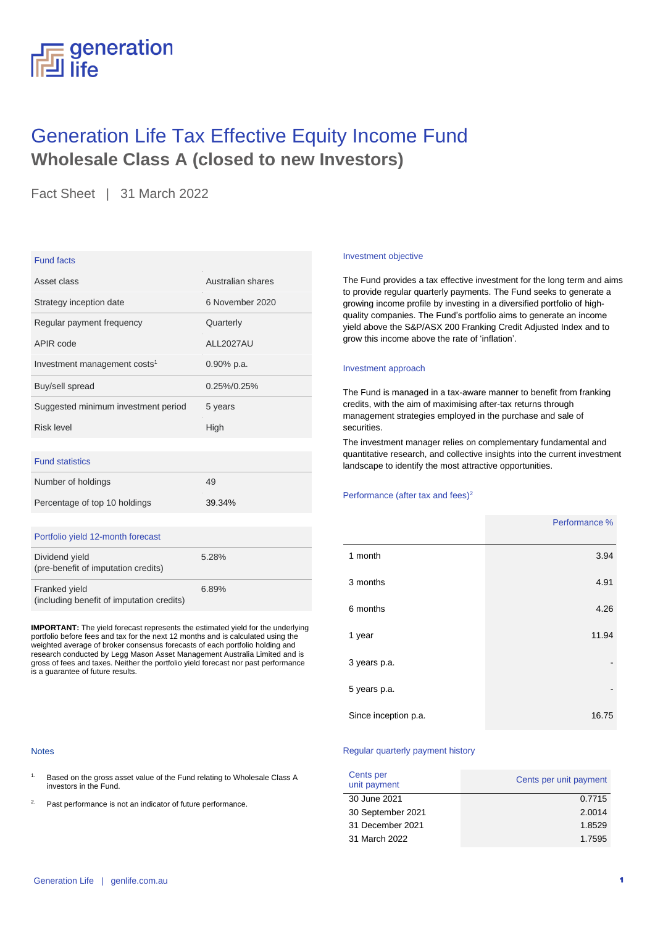# generation All life

## Generation Life Tax Effective Equity Income Fund **Wholesale Class A (closed to new Investors)**

Fact Sheet | 31 March 2022

### Fund facts

| Asset class                              | Australian shares |
|------------------------------------------|-------------------|
| Strategy inception date                  | 6 November 2020   |
| Regular payment frequency                | Quarterly         |
| APIR code                                | ALL2027AU         |
| Investment management costs <sup>1</sup> | $0.90\%$ p.a.     |
| Buy/sell spread                          | $0.25\%/0.25\%$   |
| Suggested minimum investment period      | 5 years           |
| Risk level                               | High              |
|                                          |                   |

### Fund statistics

| Number of holdings            | 49     |
|-------------------------------|--------|
| Percentage of top 10 holdings | 39.34% |

### Portfolio yield 12-month forecast

| Dividend yield<br>(pre-benefit of imputation credits)      | 5.28% |
|------------------------------------------------------------|-------|
| Franked yield<br>(including benefit of imputation credits) | 6.89% |

**IMPORTANT:** The yield forecast represents the estimated yield for the underlying portfolio before fees and tax for the next 12 months and is calculated using the weighted average of broker consensus forecasts of each portfolio holding and research conducted by Legg Mason Asset Management Australia Limited and is gross of fees and taxes. Neither the portfolio yield forecast nor past performance is a guarantee of future results.

#### **Notes**

- 1. Based on the gross asset value of the Fund relating to Wholesale Class A investors in the Fund.
- 2. Past performance is not an indicator of future performance.

#### Investment objective

The Fund provides a tax effective investment for the long term and aims to provide regular quarterly payments. The Fund seeks to generate a growing income profile by investing in a diversified portfolio of highquality companies. The Fund's portfolio aims to generate an income yield above the S&P/ASX 200 Franking Credit Adjusted Index and to grow this income above the rate of 'inflation'.

### Investment approach

The Fund is managed in a tax-aware manner to benefit from franking credits, with the aim of maximising after-tax returns through management strategies employed in the purchase and sale of securities.

The investment manager relies on complementary fundamental and quantitative research, and collective insights into the current investment landscape to identify the most attractive opportunities.

### Performance (after tax and fees)<sup>2</sup>

|                      | Performance % |
|----------------------|---------------|
| 1 month              | 3.94          |
| 3 months             | 4.91          |
| 6 months             | 4.26          |
| 1 year               | 11.94         |
| 3 years p.a.         |               |
| 5 years p.a.         |               |
| Since inception p.a. | 16.75         |

### Regular quarterly payment history

| Cents per<br>unit payment | Cents per unit payment |
|---------------------------|------------------------|
| 30 June 2021              | 0.7715                 |
| 30 September 2021         | 2.0014                 |
| 31 December 2021          | 1.8529                 |
| 31 March 2022             | 1.7595                 |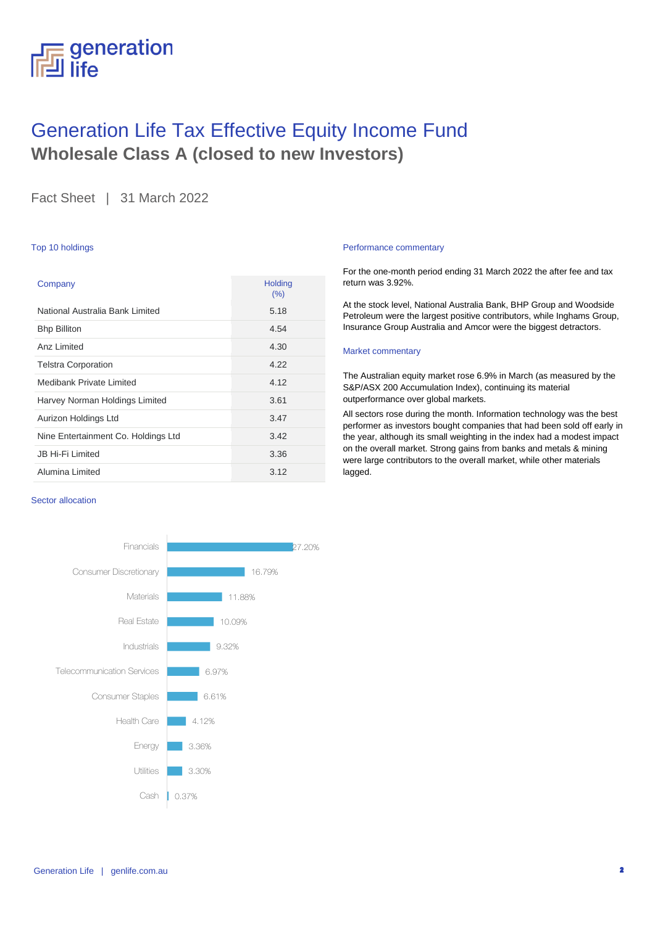### generation life

## Generation Life Tax Effective Equity Income Fund **Wholesale Class A (closed to new Investors)**

Fact Sheet | 31 March 2022

### Top 10 holdings

| Company                             | Holding<br>(%) |
|-------------------------------------|----------------|
| National Australia Bank Limited     | 5.18           |
| <b>Bhp Billiton</b>                 | 4.54           |
| Anz I imited                        | 4.30           |
| <b>Telstra Corporation</b>          | 4.22           |
| Medibank Private Limited            | 4.12           |
| Harvey Norman Holdings Limited      | 3.61           |
| Aurizon Holdings Ltd                | 3.47           |
| Nine Entertainment Co. Holdings Ltd | 3.42           |
| <b>JB Hi-Fi Limited</b>             | 3.36           |
| Alumina Limited                     | 3.12           |

### Sector allocation



### Performance commentary

For the one-month period ending 31 March 2022 the after fee and tax return was 3.92%.

At the stock level, National Australia Bank, BHP Group and Woodside Petroleum were the largest positive contributors, while Inghams Group, Insurance Group Australia and Amcor were the biggest detractors.

### Market commentary

The Australian equity market rose 6.9% in March (as measured by the S&P/ASX 200 Accumulation Index), continuing its material outperformance over global markets.

All sectors rose during the month. Information technology was the best performer as investors bought companies that had been sold off early in the year, although its small weighting in the index had a modest impact on the overall market. Strong gains from banks and metals & mining were large contributors to the overall market, while other materials lagged.